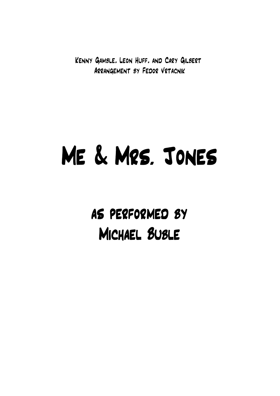Kenny Gamble, Leon Huff, and Cary Gilbert Arrangement by Fedor Vrtacnik

## Me & Mrs. Jones

as performed by Michael Buble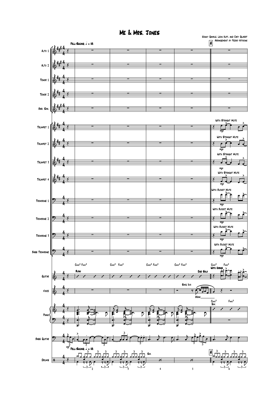Me & Mrs. Jones